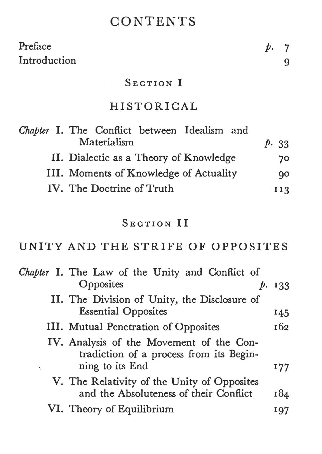# **CONTENTS**

| Preface                                                     |      | 7   |
|-------------------------------------------------------------|------|-----|
| Introduction                                                |      | 9   |
| SECTION I                                                   |      |     |
| HISTORICAL                                                  |      |     |
| Chapter I. The Conflict between Idealism and<br>Materialism | p.33 |     |
| II. Dialectic as a Theory of Knowledge                      |      | 70  |
| III. Moments of Knowledge of Actuality                      |      | 90  |
| IV. The Doctrine of Truth                                   |      | 113 |

### SECTION II

UNITY AND THE STRIFE OF OPPOSITES

|         | Chapter I. The Law of the Unity and Conflict of                                       |        |
|---------|---------------------------------------------------------------------------------------|--------|
|         | Opposites                                                                             | p. 133 |
|         | II. The Division of Unity, the Disclosure of                                          |        |
|         | <b>Essential Opposites</b>                                                            | 145    |
|         | III. Mutual Penetration of Opposites                                                  | 162    |
|         | IV. Analysis of the Movement of the Con-<br>tradiction of a process from its Begin-   |        |
| $\cdot$ | ning to its End                                                                       | 177    |
|         | V. The Relativity of the Unity of Opposites<br>and the Absoluteness of their Conflict | 184    |
|         | VI. Theory of Equilibrium                                                             | 197    |